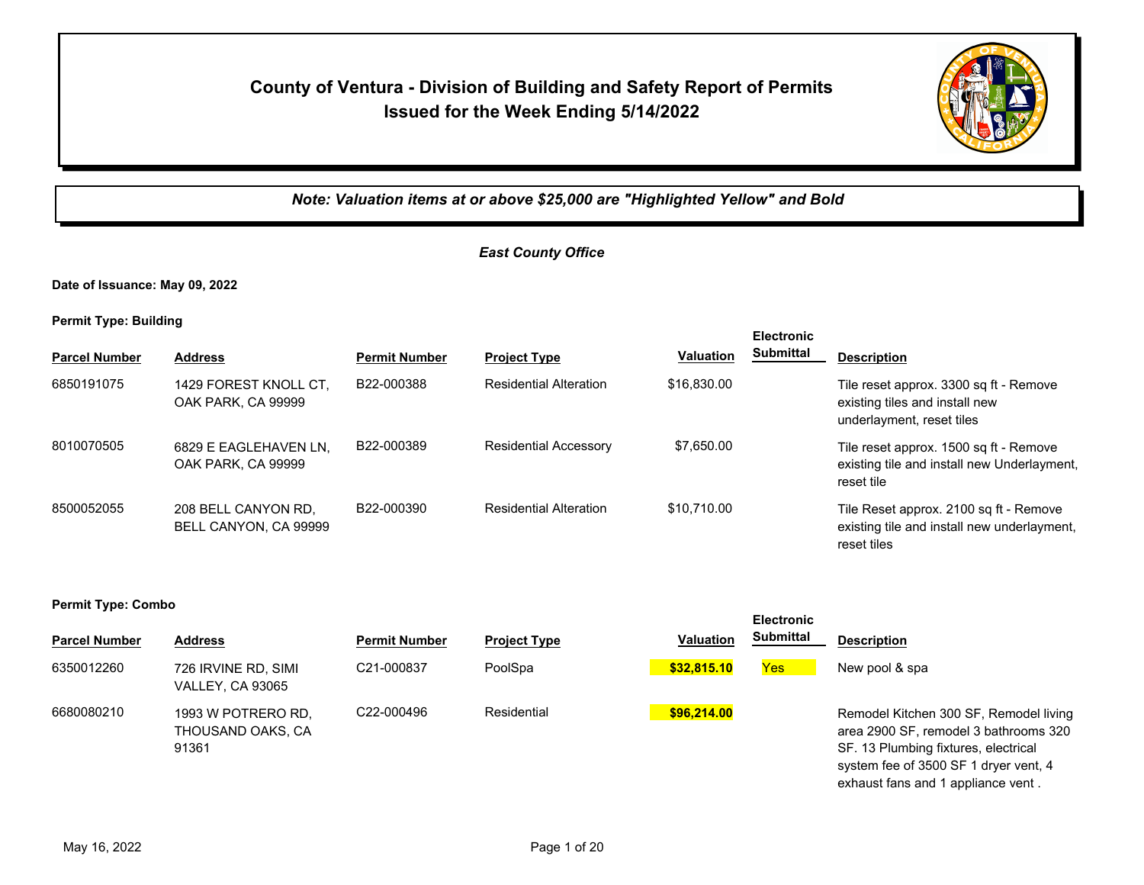# **County of Ventura - Division of Building and Safety Report of Permits Issued for the Week Ending 5/14/2022**



*Note: Valuation items at or above \$25,000 are "Highlighted Yellow" and Bold*

## *East County Office*

**Date of Issuance: May 09, 2022**

**Permit Type: Building**

|                      |                                              |                      |                               |                  | EIECITONIC       |                                                                                                       |
|----------------------|----------------------------------------------|----------------------|-------------------------------|------------------|------------------|-------------------------------------------------------------------------------------------------------|
| <b>Parcel Number</b> | <b>Address</b>                               | <b>Permit Number</b> | <b>Project Type</b>           | <b>Valuation</b> | <b>Submittal</b> | <b>Description</b>                                                                                    |
| 6850191075           | 1429 FOREST KNOLL CT.<br>OAK PARK, CA 99999  | B22-000388           | <b>Residential Alteration</b> | \$16,830,00      |                  | Tile reset approx. 3300 sq ft - Remove<br>existing tiles and install new<br>underlayment, reset tiles |
| 8010070505           | 6829 E EAGLEHAVEN LN,<br>OAK PARK, CA 99999  | B22-000389           | <b>Residential Accessory</b>  | \$7,650.00       |                  | Tile reset approx. 1500 sq ft - Remove<br>existing tile and install new Underlayment,<br>reset tile   |
| 8500052055           | 208 BELL CANYON RD.<br>BELL CANYON, CA 99999 | B22-000390           | <b>Residential Alteration</b> | \$10.710.00      |                  | Tile Reset approx. 2100 sq ft - Remove<br>existing tile and install new underlayment,<br>reset tiles  |

**Electronic** 

**Electronic** 

| <b>Parcel Number</b> | <b>Address</b>                                   | <b>Permit Number</b> | <b>Project Type</b> | <b>Valuation</b> | <b>Submittal</b> | <b>Description</b>                                                                                                                                                                                     |
|----------------------|--------------------------------------------------|----------------------|---------------------|------------------|------------------|--------------------------------------------------------------------------------------------------------------------------------------------------------------------------------------------------------|
| 6350012260           | 726 IRVINE RD. SIMI<br><b>VALLEY, CA 93065</b>   | C21-000837           | PoolSpa             | \$32,815.10      | <b>Yes</b>       | New pool & spa                                                                                                                                                                                         |
| 6680080210           | 1993 W POTRERO RD,<br>THOUSAND OAKS, CA<br>91361 | C22-000496           | Residential         | \$96.214.00      |                  | Remodel Kitchen 300 SF, Remodel living<br>area 2900 SF, remodel 3 bathrooms 320<br>SF. 13 Plumbing fixtures, electrical<br>system fee of 3500 SF 1 dryer vent, 4<br>exhaust fans and 1 appliance vent. |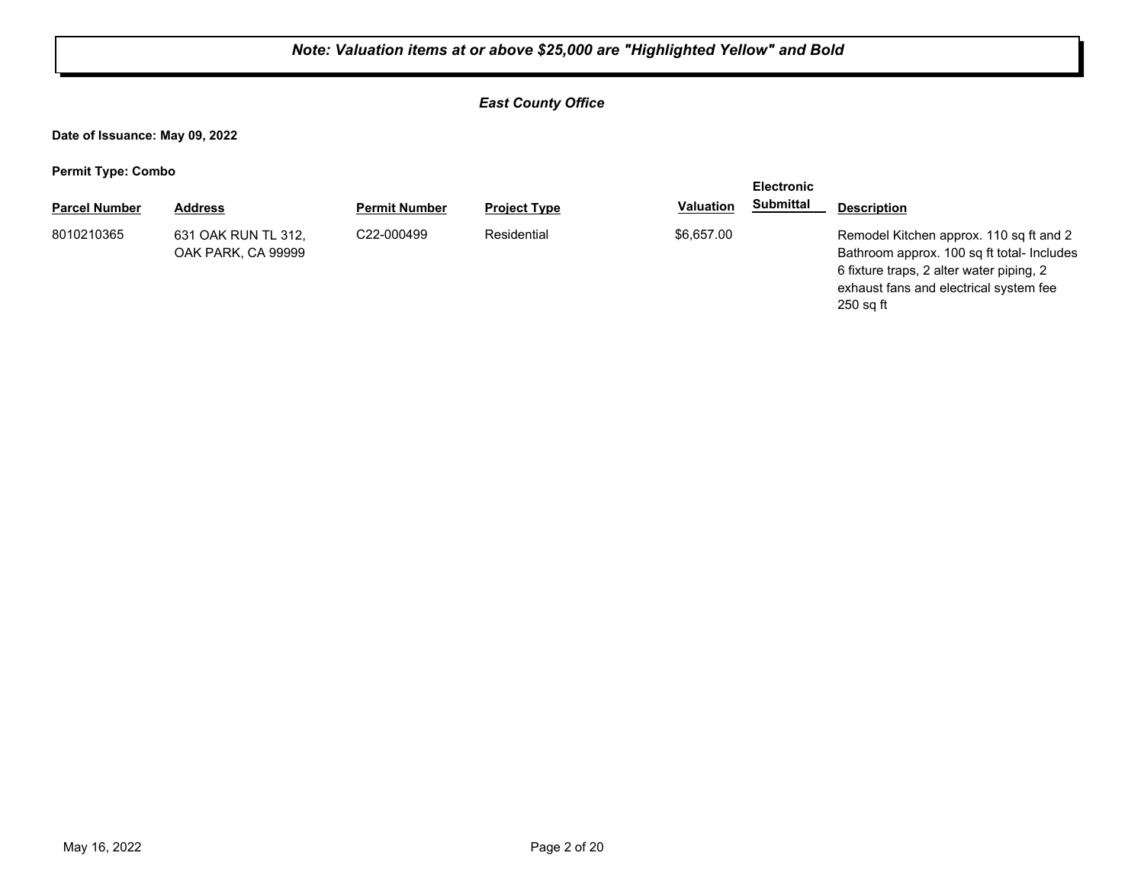## *East County Office*

**Date of Issuance: May 09, 2022**

| . .                  |                                           |                      |                     |                  | <b>Electronic</b> |                                                                                                                                                                                            |
|----------------------|-------------------------------------------|----------------------|---------------------|------------------|-------------------|--------------------------------------------------------------------------------------------------------------------------------------------------------------------------------------------|
| <b>Parcel Number</b> | <b>Address</b>                            | <b>Permit Number</b> | <b>Project Type</b> | <b>Valuation</b> | <b>Submittal</b>  | <b>Description</b>                                                                                                                                                                         |
| 8010210365           | 631 OAK RUN TL 312,<br>OAK PARK, CA 99999 | C22-000499           | Residential         | \$6.657.00       |                   | Remodel Kitchen approx. 110 sq ft and 2<br>Bathroom approx. 100 sq ft total- Includes<br>6 fixture traps, 2 alter water piping, 2<br>exhaust fans and electrical system fee<br>$250$ sq ft |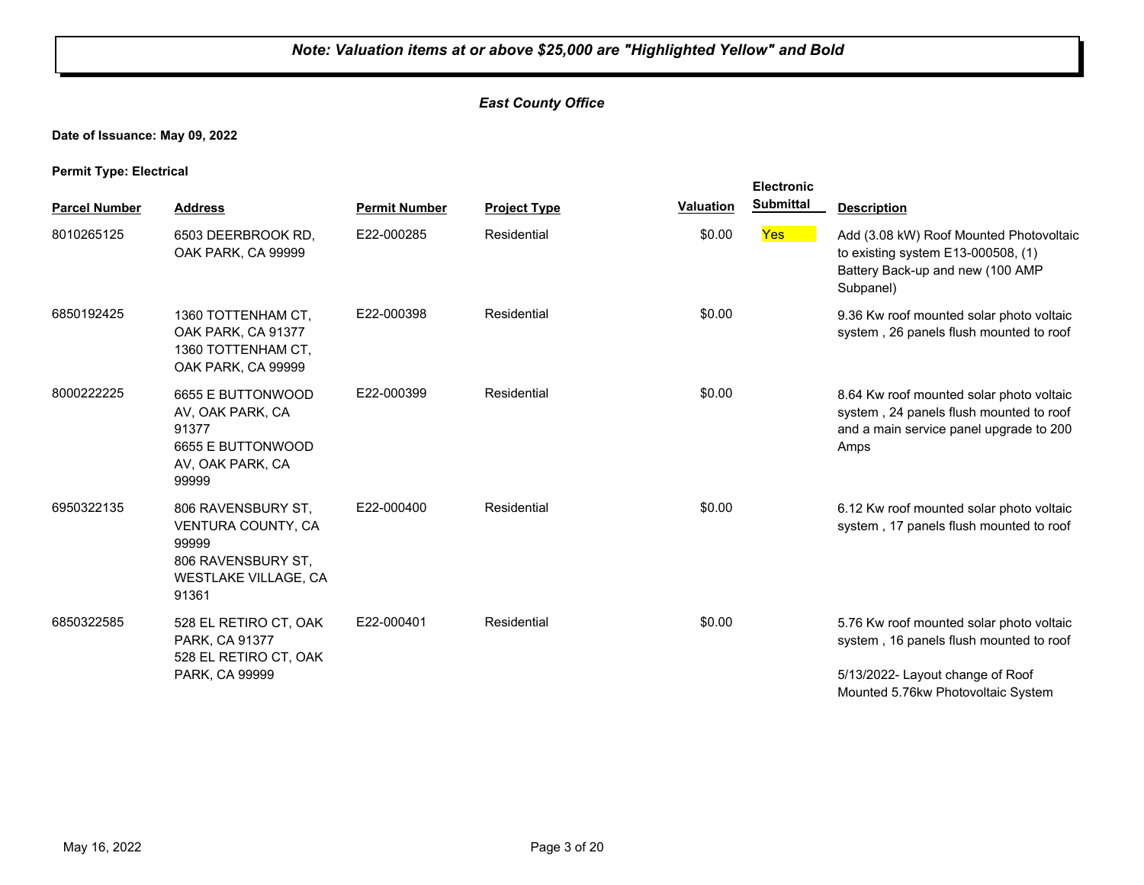## *East County Office*

## **Date of Issuance: May 09, 2022**

**Permit Type: Electrical**

| <b>Parcel Number</b> | <b>Address</b>                                                                                           | <b>Permit Number</b> | <b>Project Type</b> | <b>Valuation</b> | <b>Electronic</b><br><b>Submittal</b> | <b>Description</b>                                                                                                                                            |
|----------------------|----------------------------------------------------------------------------------------------------------|----------------------|---------------------|------------------|---------------------------------------|---------------------------------------------------------------------------------------------------------------------------------------------------------------|
| 8010265125           | 6503 DEERBROOK RD,<br>OAK PARK, CA 99999                                                                 | E22-000285           | Residential         | \$0.00           | Yes                                   | Add (3.08 kW) Roof Mounted Photovoltaic<br>to existing system $E13-000508$ , (1)<br>Battery Back-up and new (100 AMP<br>Subpanel)                             |
| 6850192425           | 1360 TOTTENHAM CT,<br>OAK PARK, CA 91377<br>1360 TOTTENHAM CT,<br>OAK PARK, CA 99999                     | E22-000398           | Residential         | \$0.00           |                                       | 9.36 Kw roof mounted solar photo voltaic<br>system, 26 panels flush mounted to roof                                                                           |
| 8000222225           | 6655 E BUTTONWOOD<br>AV, OAK PARK, CA<br>91377<br>6655 E BUTTONWOOD<br>AV, OAK PARK, CA<br>99999         | E22-000399           | Residential         | \$0.00           |                                       | 8.64 Kw roof mounted solar photo voltaic<br>system, 24 panels flush mounted to roof<br>and a main service panel upgrade to 200<br>Amps                        |
| 6950322135           | 806 RAVENSBURY ST,<br>VENTURA COUNTY, CA<br>99999<br>806 RAVENSBURY ST,<br>WESTLAKE VILLAGE, CA<br>91361 | E22-000400           | Residential         | \$0.00           |                                       | 6.12 Kw roof mounted solar photo voltaic<br>system, 17 panels flush mounted to roof                                                                           |
| 6850322585           | 528 EL RETIRO CT, OAK<br>PARK, CA 91377<br>528 EL RETIRO CT, OAK<br>PARK, CA 99999                       | E22-000401           | Residential         | \$0.00           |                                       | 5.76 Kw roof mounted solar photo voltaic<br>system, 16 panels flush mounted to roof<br>5/13/2022- Layout change of Roof<br>Mounted 5.76kw Photovoltaic System |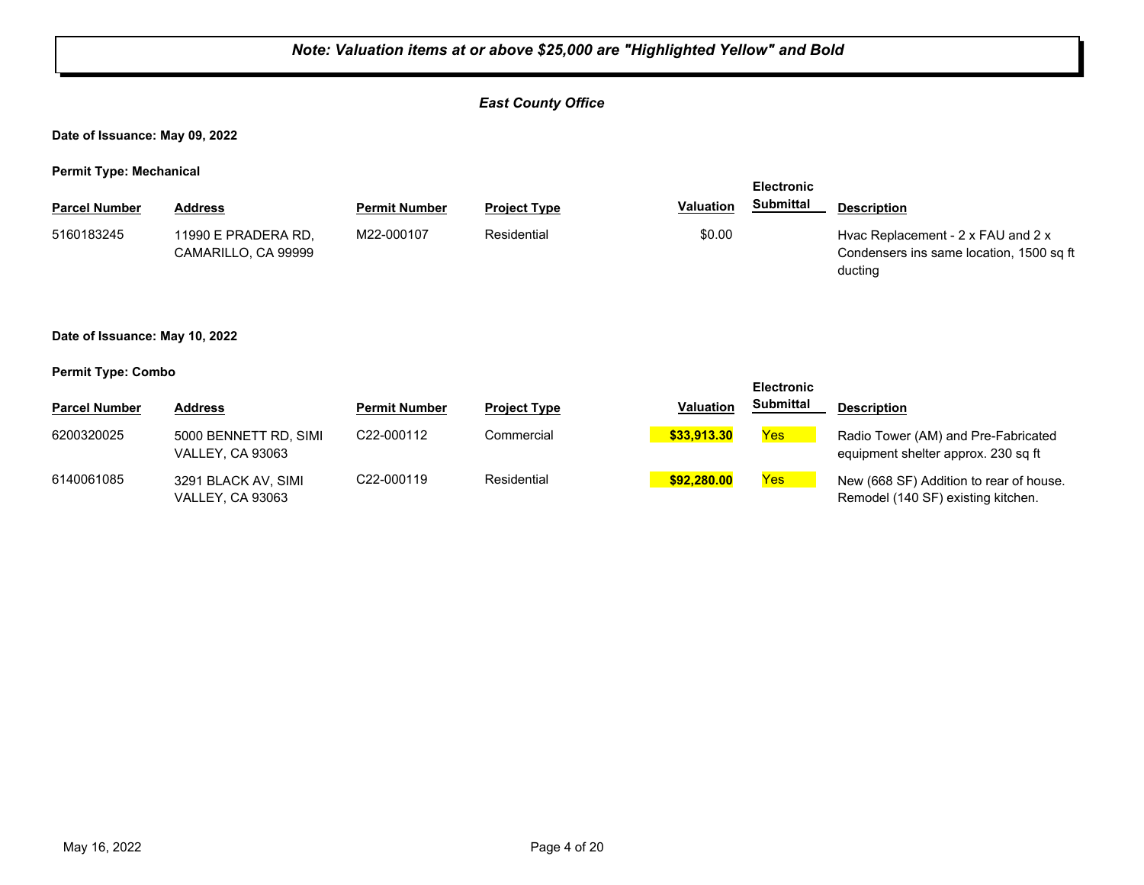## *East County Office*

**Date of Issuance: May 09, 2022**

**Permit Type: Mechanical**

|                      |                                            | <b>Electronic</b>    |                     |                  |                  |                                                                                           |
|----------------------|--------------------------------------------|----------------------|---------------------|------------------|------------------|-------------------------------------------------------------------------------------------|
| <b>Parcel Number</b> | Address                                    | <b>Permit Number</b> | <b>Project Type</b> | <b>Valuation</b> | <b>Submittal</b> | <b>Description</b>                                                                        |
| 5160183245           | 11990 E PRADERA RD,<br>CAMARILLO, CA 99999 | M22-000107           | Residential         | \$0.00           |                  | Hvac Replacement - 2 x FAU and 2 x<br>Condensers ins same location, 1500 sq ft<br>ducting |

#### **Date of Issuance: May 10, 2022**

|                      |                                                  |                         |                     |                  | <b>Electronic</b> |                                                                               |
|----------------------|--------------------------------------------------|-------------------------|---------------------|------------------|-------------------|-------------------------------------------------------------------------------|
| <b>Parcel Number</b> | Address                                          | <b>Permit Number</b>    | <b>Project Type</b> | <b>Valuation</b> | Submittal         | <b>Description</b>                                                            |
| 6200320025           | 5000 BENNETT RD, SIMI<br><b>VALLEY, CA 93063</b> | C <sub>22</sub> -000112 | Commercial          | \$33,913.30      | <b>Yes</b>        | Radio Tower (AM) and Pre-Fabricated<br>equipment shelter approx. 230 sq ft    |
| 6140061085           | 3291 BLACK AV, SIMI<br><b>VALLEY, CA 93063</b>   | C <sub>22</sub> -000119 | Residential         | \$92,280,00      | <b>Yes</b>        | New (668 SF) Addition to rear of house.<br>Remodel (140 SF) existing kitchen. |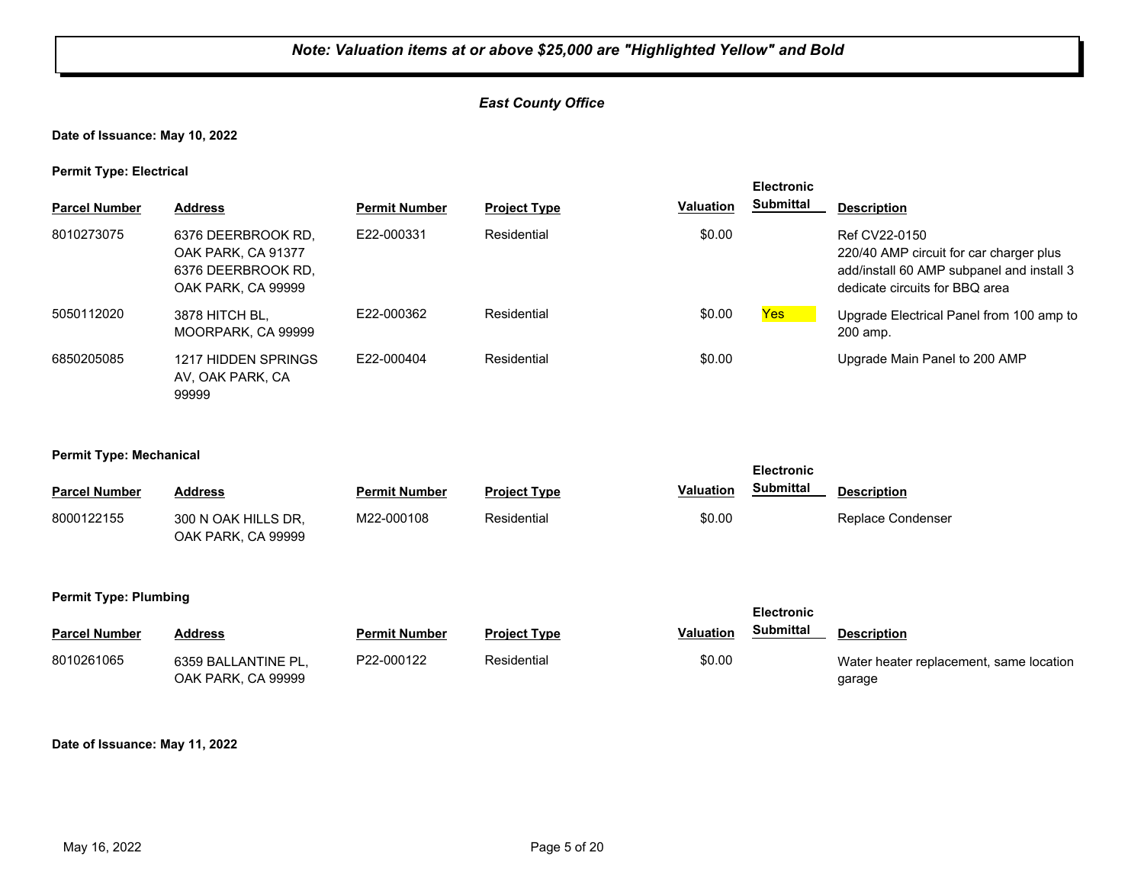## *East County Office*

#### **Date of Issuance: May 10, 2022**

#### **Permit Type: Electrical**

|                      |                                                                                      |                      |                     |           | <b>Electronic</b> |                                                                                                                                         |
|----------------------|--------------------------------------------------------------------------------------|----------------------|---------------------|-----------|-------------------|-----------------------------------------------------------------------------------------------------------------------------------------|
| <b>Parcel Number</b> | <b>Address</b>                                                                       | <b>Permit Number</b> | <b>Project Type</b> | Valuation | <b>Submittal</b>  | <b>Description</b>                                                                                                                      |
| 8010273075           | 6376 DEERBROOK RD.<br>OAK PARK, CA 91377<br>6376 DEERBROOK RD.<br>OAK PARK, CA 99999 | E22-000331           | Residential         | \$0.00    |                   | Ref CV22-0150<br>220/40 AMP circuit for car charger plus<br>add/install 60 AMP subpanel and install 3<br>dedicate circuits for BBQ area |
| 5050112020           | 3878 HITCH BL.<br>MOORPARK, CA 99999                                                 | E22-000362           | Residential         | \$0.00    | Yes               | Upgrade Electrical Panel from 100 amp to<br>200 amp.                                                                                    |
| 6850205085           | 1217 HIDDEN SPRINGS<br>AV. OAK PARK. CA<br>99999                                     | F22-000404           | Residential         | \$0.00    |                   | Upgrade Main Panel to 200 AMP                                                                                                           |

#### **Permit Type: Mechanical**

|                      |                                           |                      |                     |                  | <b>Electronic</b> |                    |
|----------------------|-------------------------------------------|----------------------|---------------------|------------------|-------------------|--------------------|
| <b>Parcel Number</b> | Address                                   | <b>Permit Number</b> | <b>Project Type</b> | <b>Valuation</b> | <b>Submittal</b>  | <b>Description</b> |
| 8000122155           | 300 N OAK HILLS DR.<br>OAK PARK, CA 99999 | M22-000108           | Residential         | \$0.00           |                   | Replace Condenser  |

#### **Permit Type: Plumbing**

|                      |                     |                      |                     |           | <b>Electronic</b> |                                         |
|----------------------|---------------------|----------------------|---------------------|-----------|-------------------|-----------------------------------------|
| <b>Parcel Number</b> | Address             | <b>Permit Number</b> | <b>Project Type</b> | Valuation | Submittal         | <b>Description</b>                      |
| 8010261065           | 6359 BALLANTINE PL, | P22-000122           | Residential         | \$0.00    |                   | Water heater replacement, same location |
|                      | OAK PARK, CA 99999  |                      |                     |           |                   | garage                                  |

#### **Date of Issuance: May 11, 2022**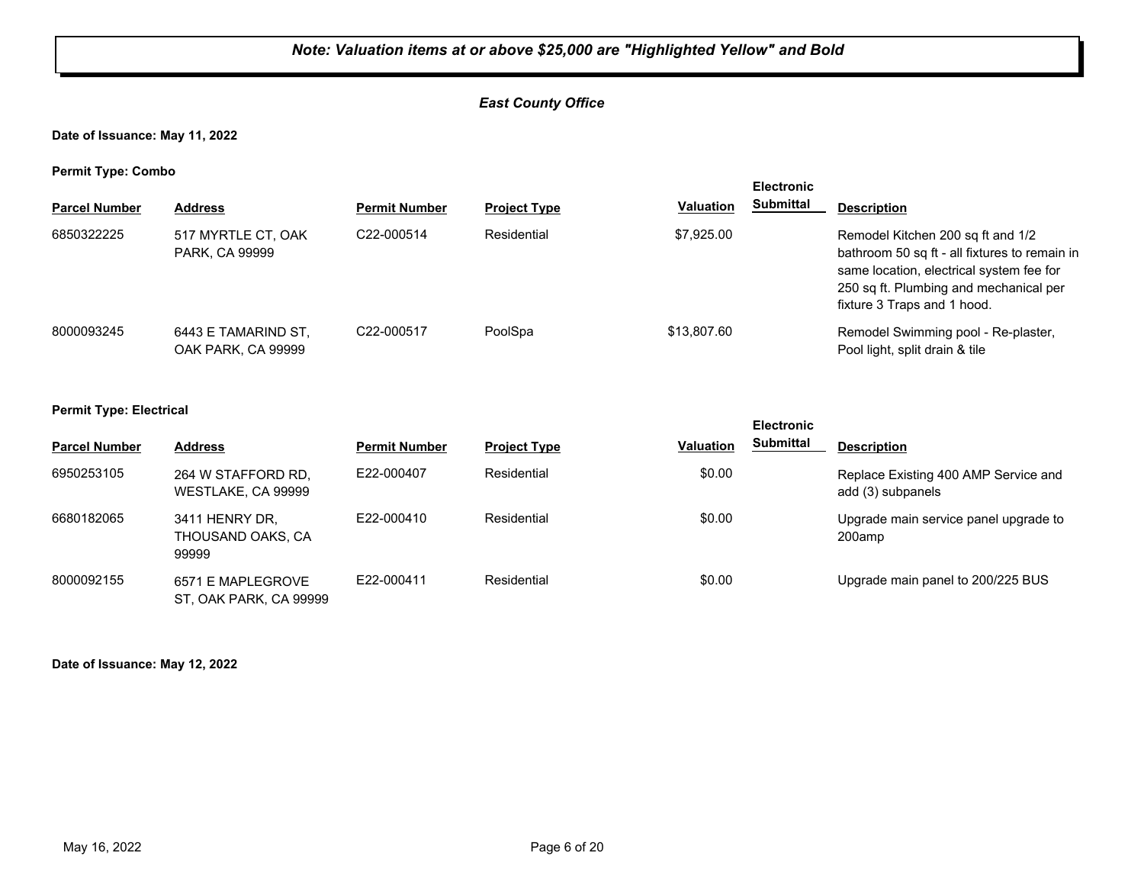## *East County Office*

**Date of Issuance: May 11, 2022**

**Permit Type: Combo**

| . .                  |                                           |                         |                     |                  | <b>Electronic</b> |                                                                                                                                                                                                         |
|----------------------|-------------------------------------------|-------------------------|---------------------|------------------|-------------------|---------------------------------------------------------------------------------------------------------------------------------------------------------------------------------------------------------|
| <b>Parcel Number</b> | <b>Address</b>                            | <b>Permit Number</b>    | <b>Project Type</b> | <b>Valuation</b> | <b>Submittal</b>  | <b>Description</b>                                                                                                                                                                                      |
| 6850322225           | 517 MYRTLE CT, OAK<br>PARK, CA 99999      | C <sub>22</sub> -000514 | Residential         | \$7,925.00       |                   | Remodel Kitchen 200 sq ft and 1/2<br>bathroom 50 sq ft - all fixtures to remain in<br>same location, electrical system fee for<br>250 sq ft. Plumbing and mechanical per<br>fixture 3 Traps and 1 hood. |
| 8000093245           | 6443 E TAMARIND ST.<br>OAK PARK, CA 99999 | C22-000517              | PoolSpa             | \$13,807.60      |                   | Remodel Swimming pool - Re-plaster,<br>Pool light, split drain & tile                                                                                                                                   |

#### **Permit Type: Electrical**

|                      |                                              |                      |                     |                  | <b>Electronic</b> |                                                           |
|----------------------|----------------------------------------------|----------------------|---------------------|------------------|-------------------|-----------------------------------------------------------|
| <b>Parcel Number</b> | <b>Address</b>                               | <b>Permit Number</b> | <b>Project Type</b> | <b>Valuation</b> | <b>Submittal</b>  | <b>Description</b>                                        |
| 6950253105           | 264 W STAFFORD RD,<br>WESTLAKE, CA 99999     | E22-000407           | Residential         | \$0.00           |                   | Replace Existing 400 AMP Service and<br>add (3) subpanels |
| 6680182065           | 3411 HENRY DR.<br>THOUSAND OAKS, CA<br>99999 | E22-000410           | Residential         | \$0.00           |                   | Upgrade main service panel upgrade to<br>200amp           |
| 8000092155           | 6571 E MAPLEGROVE<br>ST, OAK PARK, CA 99999  | F22-000411           | Residential         | \$0.00           |                   | Upgrade main panel to 200/225 BUS                         |

**Date of Issuance: May 12, 2022**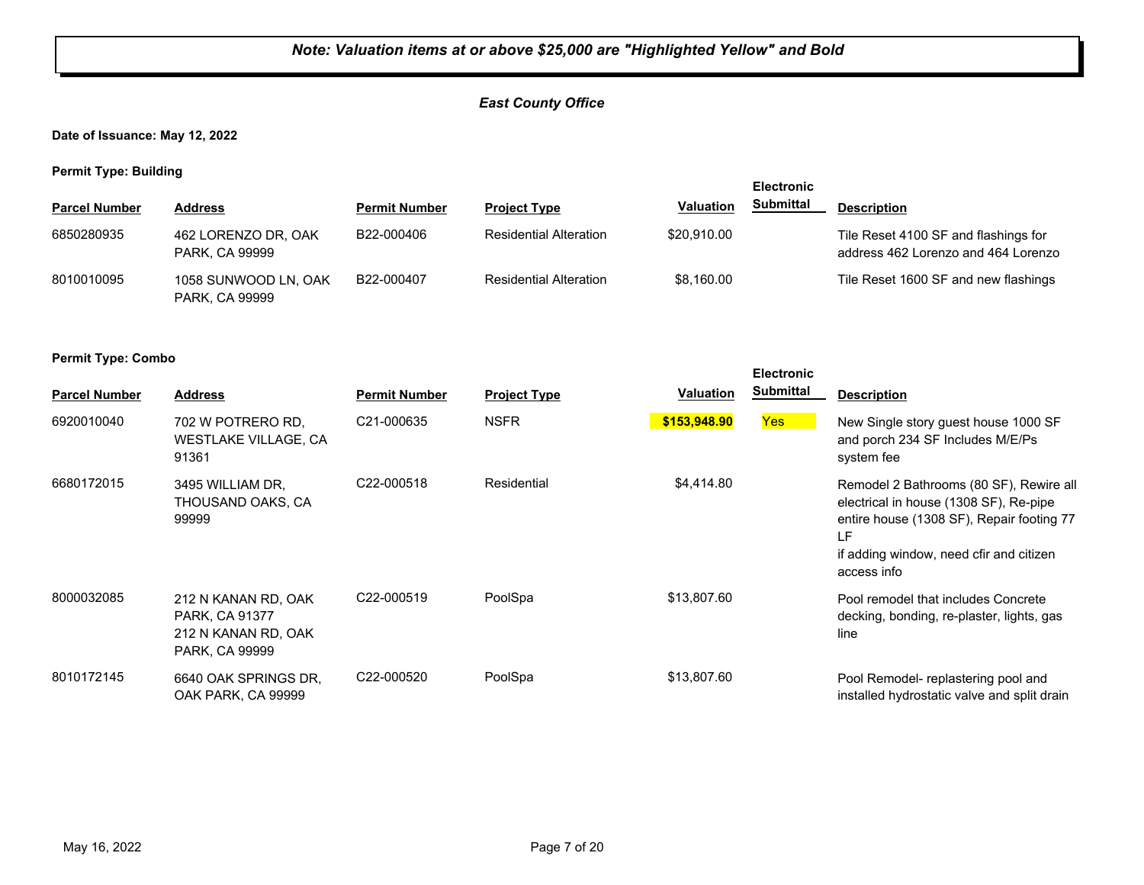## *East County Office*

**Date of Issuance: May 12, 2022**

**Permit Type: Building**

| - -                  |                                        |                      |                               |                  | <b>Electronic</b> |                                                                             |
|----------------------|----------------------------------------|----------------------|-------------------------------|------------------|-------------------|-----------------------------------------------------------------------------|
| <b>Parcel Number</b> | <b>Address</b>                         | <b>Permit Number</b> | <b>Project Type</b>           | <b>Valuation</b> | <b>Submittal</b>  | <b>Description</b>                                                          |
| 6850280935           | 462 LORENZO DR, OAK<br>PARK, CA 99999  | B22-000406           | <b>Residential Alteration</b> | \$20,910.00      |                   | Tile Reset 4100 SF and flashings for<br>address 462 Lorenzo and 464 Lorenzo |
| 8010010095           | 1058 SUNWOOD LN, OAK<br>PARK, CA 99999 | B22-000407           | <b>Residential Alteration</b> | \$8.160.00       |                   | Tile Reset 1600 SF and new flashings                                        |

| <b>Parcel Number</b> | <b>Address</b>                                                                 | <b>Permit Number</b>    | <b>Project Type</b> | <b>Valuation</b> | <b>Electronic</b><br><b>Submittal</b> | <b>Description</b>                                                                                                                                                                             |
|----------------------|--------------------------------------------------------------------------------|-------------------------|---------------------|------------------|---------------------------------------|------------------------------------------------------------------------------------------------------------------------------------------------------------------------------------------------|
| 6920010040           | 702 W POTRERO RD.<br><b>WESTLAKE VILLAGE, CA</b><br>91361                      | C <sub>21</sub> -000635 | <b>NSFR</b>         | \$153,948.90     | Yes                                   | New Single story guest house 1000 SF<br>and porch 234 SF Includes M/E/Ps<br>system fee                                                                                                         |
| 6680172015           | 3495 WILLIAM DR.<br>THOUSAND OAKS, CA<br>99999                                 | C22-000518              | Residential         | \$4,414.80       |                                       | Remodel 2 Bathrooms (80 SF), Rewire all<br>electrical in house (1308 SF), Re-pipe<br>entire house (1308 SF), Repair footing 77<br>LF<br>if adding window, need cfir and citizen<br>access info |
| 8000032085           | 212 N KANAN RD, OAK<br>PARK, CA 91377<br>212 N KANAN RD, OAK<br>PARK, CA 99999 | C22-000519              | PoolSpa             | \$13,807.60      |                                       | Pool remodel that includes Concrete<br>decking, bonding, re-plaster, lights, gas<br>line                                                                                                       |
| 8010172145           | 6640 OAK SPRINGS DR.<br>OAK PARK, CA 99999                                     | C <sub>22</sub> -000520 | PoolSpa             | \$13,807.60      |                                       | Pool Remodel- replastering pool and<br>installed hydrostatic valve and split drain                                                                                                             |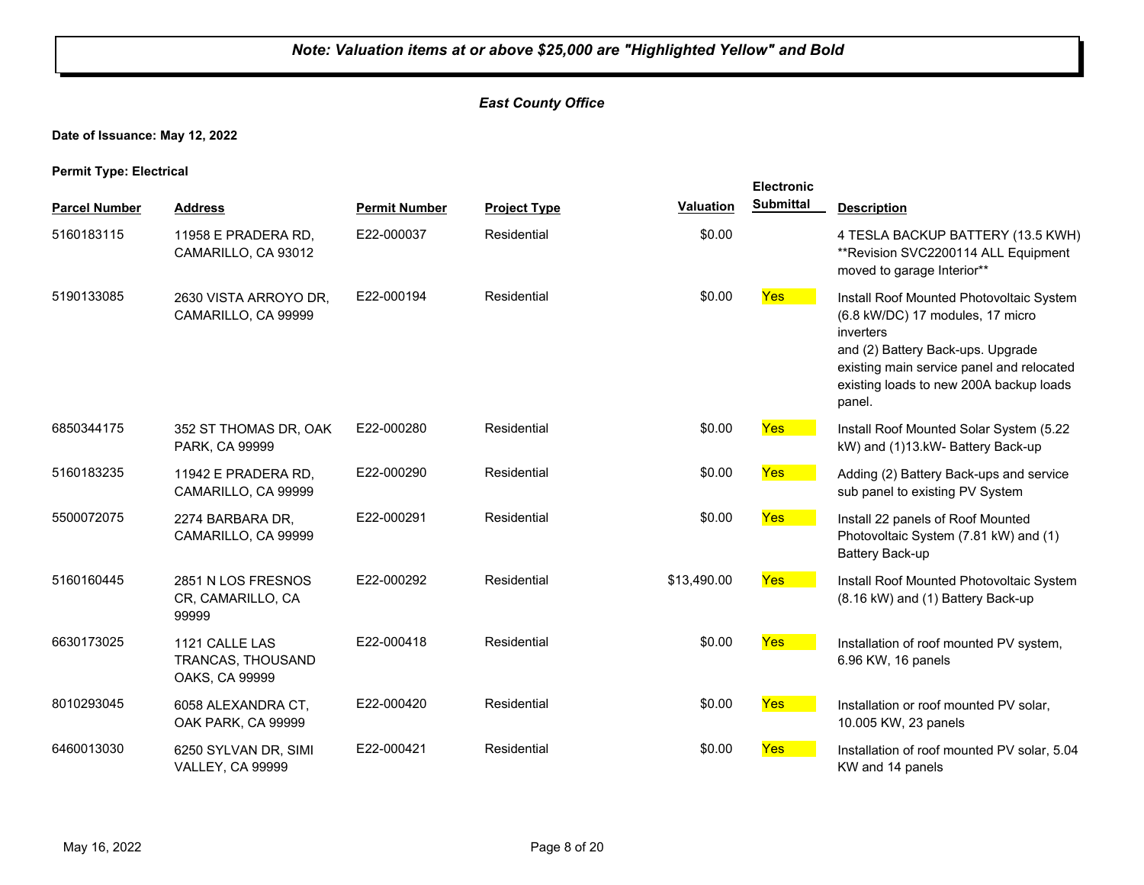## *East County Office*

**Date of Issuance: May 12, 2022**

**Permit Type: Electrical**

| <b>Parcel Number</b> | <b>Address</b>                                        | <b>Permit Number</b> | <b>Project Type</b> | <b>Valuation</b> | <b>Electronic</b><br><b>Submittal</b> | <b>Description</b>                                                                                                                                                                                                               |
|----------------------|-------------------------------------------------------|----------------------|---------------------|------------------|---------------------------------------|----------------------------------------------------------------------------------------------------------------------------------------------------------------------------------------------------------------------------------|
| 5160183115           | 11958 E PRADERA RD,<br>CAMARILLO, CA 93012            | E22-000037           | Residential         | \$0.00           |                                       | 4 TESLA BACKUP BATTERY (13.5 KWH)<br>**Revision SVC2200114 ALL Equipment<br>moved to garage Interior**                                                                                                                           |
| 5190133085           | 2630 VISTA ARROYO DR,<br>CAMARILLO, CA 99999          | E22-000194           | Residential         | \$0.00           | Yes                                   | Install Roof Mounted Photovoltaic System<br>(6.8 kW/DC) 17 modules, 17 micro<br>inverters<br>and (2) Battery Back-ups. Upgrade<br>existing main service panel and relocated<br>existing loads to new 200A backup loads<br>panel. |
| 6850344175           | 352 ST THOMAS DR, OAK<br>PARK, CA 99999               | E22-000280           | Residential         | \$0.00           | Yes                                   | Install Roof Mounted Solar System (5.22<br>kW) and (1)13.kW- Battery Back-up                                                                                                                                                     |
| 5160183235           | 11942 E PRADERA RD.<br>CAMARILLO, CA 99999            | E22-000290           | Residential         | \$0.00           | <b>Yes</b>                            | Adding (2) Battery Back-ups and service<br>sub panel to existing PV System                                                                                                                                                       |
| 5500072075           | 2274 BARBARA DR,<br>CAMARILLO, CA 99999               | E22-000291           | Residential         | \$0.00           | Yes                                   | Install 22 panels of Roof Mounted<br>Photovoltaic System (7.81 kW) and (1)<br>Battery Back-up                                                                                                                                    |
| 5160160445           | 2851 N LOS FRESNOS<br>CR, CAMARILLO, CA<br>99999      | E22-000292           | Residential         | \$13,490.00      | <b>Yes</b>                            | Install Roof Mounted Photovoltaic System<br>(8.16 kW) and (1) Battery Back-up                                                                                                                                                    |
| 6630173025           | 1121 CALLE LAS<br>TRANCAS, THOUSAND<br>OAKS, CA 99999 | E22-000418           | Residential         | \$0.00           | Yes                                   | Installation of roof mounted PV system,<br>6.96 KW, 16 panels                                                                                                                                                                    |
| 8010293045           | 6058 ALEXANDRA CT,<br>OAK PARK, CA 99999              | E22-000420           | Residential         | \$0.00           | Yes                                   | Installation or roof mounted PV solar,<br>10.005 KW, 23 panels                                                                                                                                                                   |
| 6460013030           | 6250 SYLVAN DR, SIMI<br>VALLEY, CA 99999              | E22-000421           | Residential         | \$0.00           | Yes                                   | Installation of roof mounted PV solar, 5.04<br>KW and 14 panels                                                                                                                                                                  |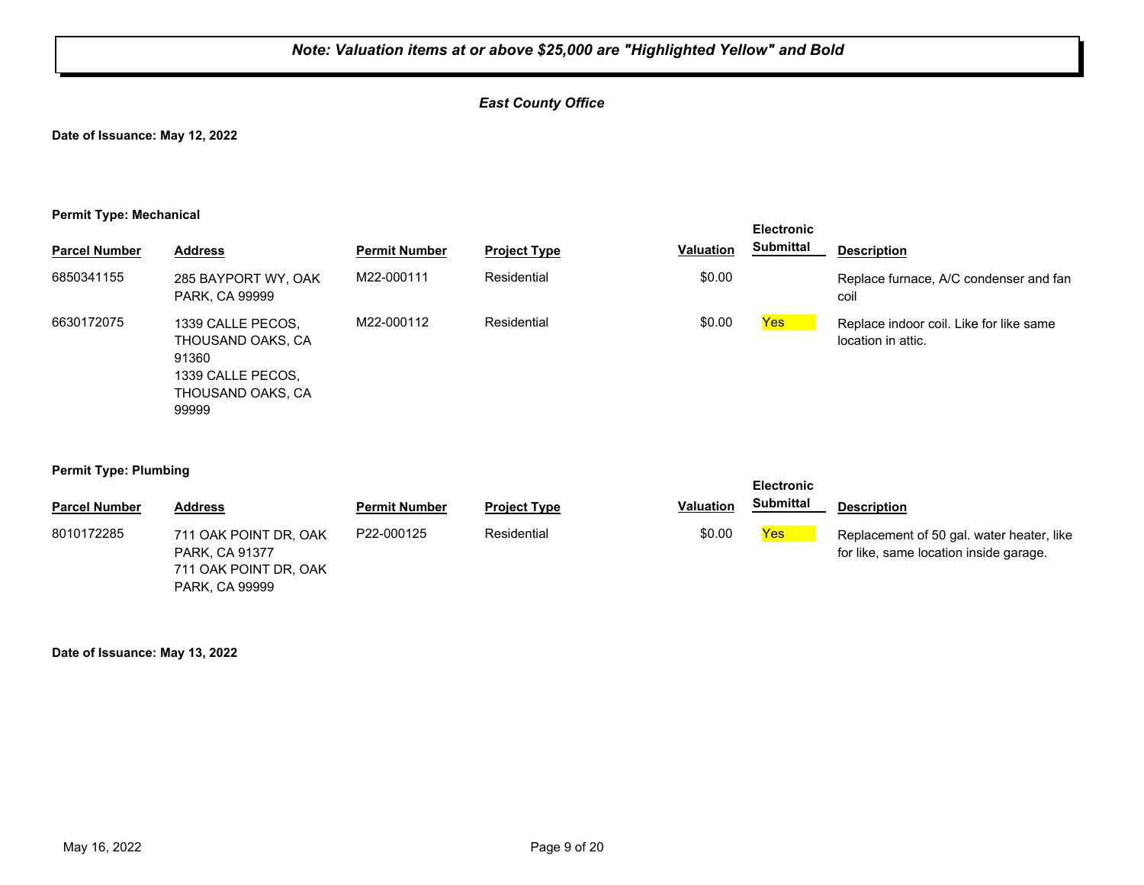## *East County Office*

**Date of Issuance: May 12, 2022**

#### **Permit Type: Mechanical**

|                      |                                                                                                    |                      |                     |           | <b>Electronic</b> |                                                               |
|----------------------|----------------------------------------------------------------------------------------------------|----------------------|---------------------|-----------|-------------------|---------------------------------------------------------------|
| <b>Parcel Number</b> | <b>Address</b>                                                                                     | <b>Permit Number</b> | <b>Project Type</b> | Valuation | Submittal         | <b>Description</b>                                            |
| 6850341155           | 285 BAYPORT WY, OAK<br>PARK, CA 99999                                                              | M22-000111           | Residential         | \$0.00    |                   | Replace furnace, A/C condenser and fan<br>coil                |
| 6630172075           | 1339 CALLE PECOS,<br>THOUSAND OAKS, CA<br>91360<br>1339 CALLE PECOS,<br>THOUSAND OAKS, CA<br>99999 | M22-000112           | Residential         | \$0.00    | Yes               | Replace indoor coil. Like for like same<br>location in attic. |

#### **Permit Type: Plumbing**

|                      |                                                                                           |                      |                     |                  | <b>Electronic</b> |                                                                                     |
|----------------------|-------------------------------------------------------------------------------------------|----------------------|---------------------|------------------|-------------------|-------------------------------------------------------------------------------------|
| <b>Parcel Number</b> | <b>Address</b>                                                                            | <b>Permit Number</b> | <b>Project Type</b> | <b>Valuation</b> | Submittal         | <b>Description</b>                                                                  |
| 8010172285           | 711 OAK POINT DR, OAK<br>PARK, CA 91377<br>711 OAK POINT DR, OAK<br><b>PARK, CA 99999</b> | P22-000125           | Residential         | \$0.00           | Yes               | Replacement of 50 gal. water heater, like<br>for like, same location inside garage. |

#### **Date of Issuance: May 13, 2022**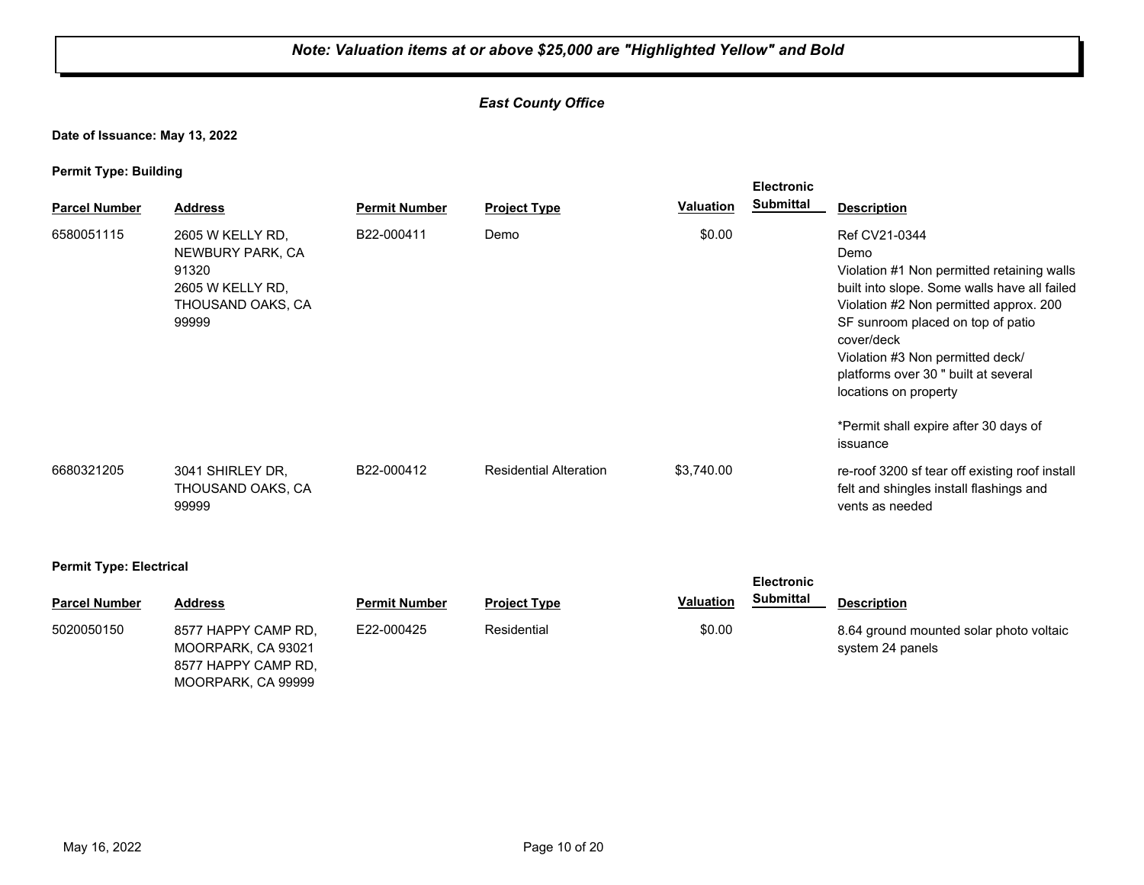## *East County Office*

**Date of Issuance: May 13, 2022**

**Permit Type: Building**

|                                |                                                                                                 |                      |                               |                  | <b>Electronic</b> |                                                                                                                                                                                                                                                                                                                       |
|--------------------------------|-------------------------------------------------------------------------------------------------|----------------------|-------------------------------|------------------|-------------------|-----------------------------------------------------------------------------------------------------------------------------------------------------------------------------------------------------------------------------------------------------------------------------------------------------------------------|
| <b>Parcel Number</b>           | <b>Address</b>                                                                                  | <b>Permit Number</b> | <b>Project Type</b>           | <b>Valuation</b> | <b>Submittal</b>  | <b>Description</b>                                                                                                                                                                                                                                                                                                    |
| 6580051115                     | 2605 W KELLY RD,<br>NEWBURY PARK, CA<br>91320<br>2605 W KELLY RD,<br>THOUSAND OAKS, CA<br>99999 | B22-000411           | Demo                          | \$0.00           |                   | Ref CV21-0344<br>Demo<br>Violation #1 Non permitted retaining walls<br>built into slope. Some walls have all failed<br>Violation #2 Non permitted approx. 200<br>SF sunroom placed on top of patio<br>cover/deck<br>Violation #3 Non permitted deck/<br>platforms over 30 " built at several<br>locations on property |
|                                |                                                                                                 |                      |                               |                  |                   | *Permit shall expire after 30 days of<br>issuance                                                                                                                                                                                                                                                                     |
| 6680321205                     | 3041 SHIRLEY DR,<br>THOUSAND OAKS, CA<br>99999                                                  | B22-000412           | <b>Residential Alteration</b> | \$3,740.00       |                   | re-roof 3200 sf tear off existing roof install<br>felt and shingles install flashings and<br>vents as needed                                                                                                                                                                                                          |
| <b>Permit Type: Electrical</b> |                                                                                                 |                      |                               |                  | <b>Electronic</b> |                                                                                                                                                                                                                                                                                                                       |
| <b>Parcel Number</b>           | <b>Address</b>                                                                                  | <b>Permit Number</b> | <b>Project Type</b>           | <b>Valuation</b> | <b>Submittal</b>  | <b>Description</b>                                                                                                                                                                                                                                                                                                    |
| 5020050150                     | 8577 HAPPY CAMP RD,<br>MOORPARK, CA 93021<br>8577 HAPPY CAMP RD.                                | E22-000425           | Residential                   | \$0.00           |                   | 8.64 ground mounted solar photo voltaic<br>system 24 panels                                                                                                                                                                                                                                                           |

MOORPARK, CA 99999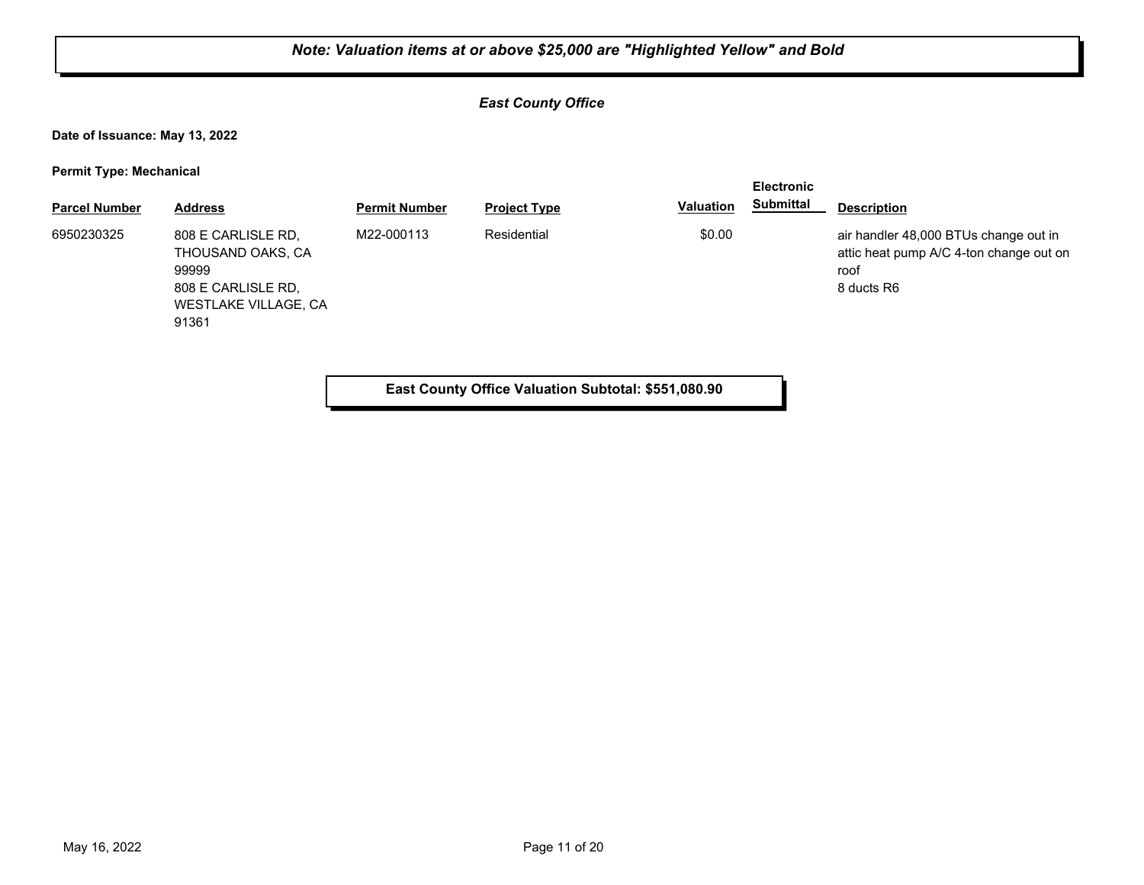## *East County Office*

**Date of Issuance: May 13, 2022**

**Permit Type: Mechanical**

|                      |                                                                                                         |                      |                     |                  | <b>Electronic</b> |                                                                                                        |
|----------------------|---------------------------------------------------------------------------------------------------------|----------------------|---------------------|------------------|-------------------|--------------------------------------------------------------------------------------------------------|
| <b>Parcel Number</b> | <b>Address</b>                                                                                          | <b>Permit Number</b> | <b>Project Type</b> | <b>Valuation</b> | <b>Submittal</b>  | <b>Description</b>                                                                                     |
| 6950230325           | 808 E CARLISLE RD,<br>THOUSAND OAKS, CA<br>99999<br>808 E CARLISLE RD.<br>WESTLAKE VILLAGE, CA<br>91361 | M22-000113           | Residential         | \$0.00           |                   | air handler 48,000 BTUs change out in<br>attic heat pump A/C 4-ton change out on<br>roof<br>8 ducts R6 |

**East County Office Valuation Subtotal: \$551,080.90**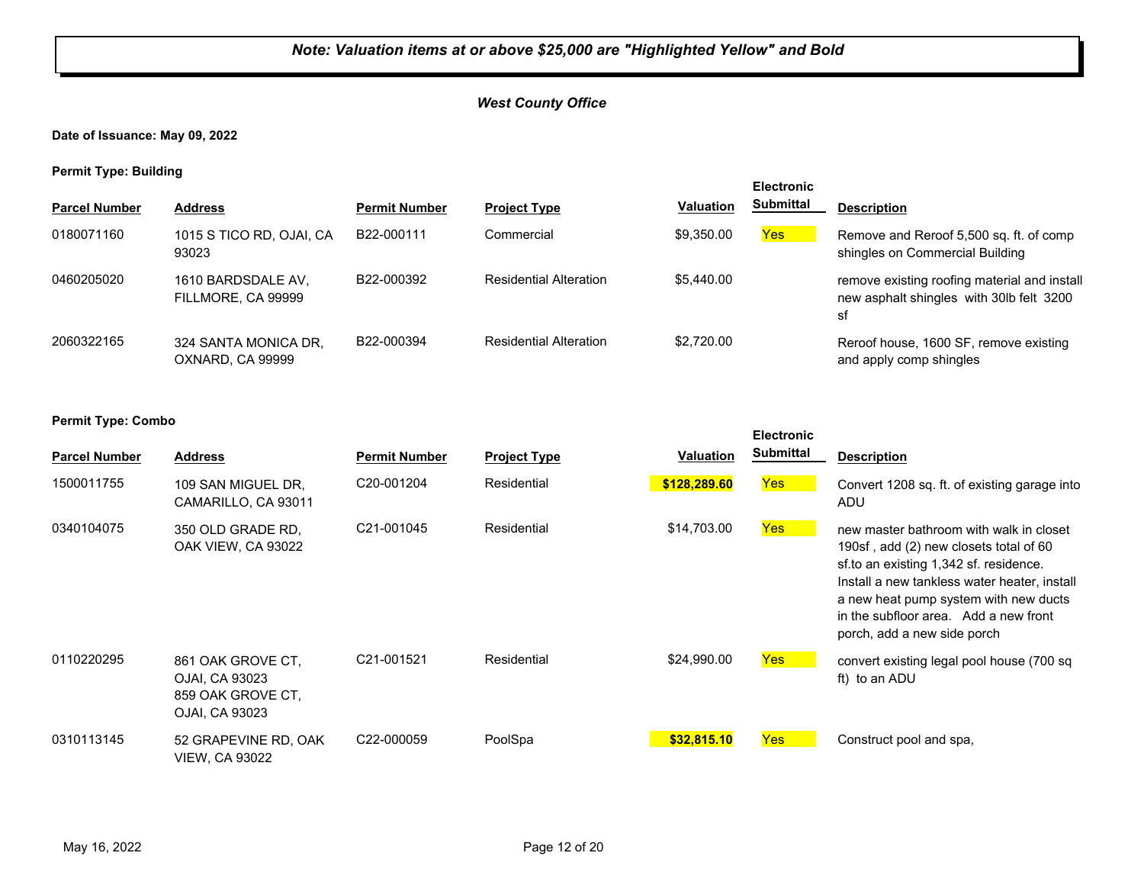## *West County Office*

**Date of Issuance: May 09, 2022**

**Permit Type: Building**

| . .                  |                                          |                      |                               |            | <b>Electronic</b> |                                                                                                |
|----------------------|------------------------------------------|----------------------|-------------------------------|------------|-------------------|------------------------------------------------------------------------------------------------|
| <b>Parcel Number</b> | <b>Address</b>                           | <b>Permit Number</b> | <b>Project Type</b>           | Valuation  | Submittal         | <b>Description</b>                                                                             |
| 0180071160           | 1015 S TICO RD, OJAI, CA<br>93023        | B22-000111           | Commercial                    | \$9,350.00 | <b>Yes</b>        | Remove and Reroof 5,500 sq. ft. of comp<br>shingles on Commercial Building                     |
| 0460205020           | 1610 BARDSDALE AV.<br>FILLMORE, CA 99999 | B22-000392           | <b>Residential Alteration</b> | \$5.440.00 |                   | remove existing roofing material and install<br>new asphalt shingles with 30lb felt 3200<br>sf |
| 2060322165           | 324 SANTA MONICA DR,<br>OXNARD, CA 99999 | B22-000394           | <b>Residential Alteration</b> | \$2,720,00 |                   | Reroof house, 1600 SF, remove existing<br>and apply comp shingles                              |

| <b>Parcel Number</b> | <b>Address</b>                                                             | <b>Permit Number</b>    | <b>Project Type</b> | <b>Valuation</b> | <b>Electronic</b><br><b>Submittal</b> | <b>Description</b>                                                                                                                                                                                                                                                                           |
|----------------------|----------------------------------------------------------------------------|-------------------------|---------------------|------------------|---------------------------------------|----------------------------------------------------------------------------------------------------------------------------------------------------------------------------------------------------------------------------------------------------------------------------------------------|
| 1500011755           | 109 SAN MIGUEL DR.<br>CAMARILLO, CA 93011                                  | C <sub>20</sub> -001204 | Residential         | \$128,289.60     | Yes                                   | Convert 1208 sq. ft. of existing garage into<br>ADU                                                                                                                                                                                                                                          |
| 0340104075           | 350 OLD GRADE RD.<br>OAK VIEW, CA 93022                                    | C21-001045              | Residential         | \$14,703.00      | <b>Yes</b>                            | new master bathroom with walk in closet<br>190sf, add (2) new closets total of 60<br>sf.to an existing 1,342 sf. residence.<br>Install a new tankless water heater, install<br>a new heat pump system with new ducts<br>in the subfloor area. Add a new front<br>porch, add a new side porch |
| 0110220295           | 861 OAK GROVE CT.<br>OJAI, CA 93023<br>859 OAK GROVE CT.<br>OJAI, CA 93023 | C21-001521              | Residential         | \$24,990.00      | <b>Yes</b>                            | convert existing legal pool house (700 sq<br>ft) to an ADU                                                                                                                                                                                                                                   |
| 0310113145           | 52 GRAPEVINE RD, OAK<br><b>VIEW, CA 93022</b>                              | C22-000059              | PoolSpa             | \$32,815.10      | <b>Yes</b>                            | Construct pool and spa,                                                                                                                                                                                                                                                                      |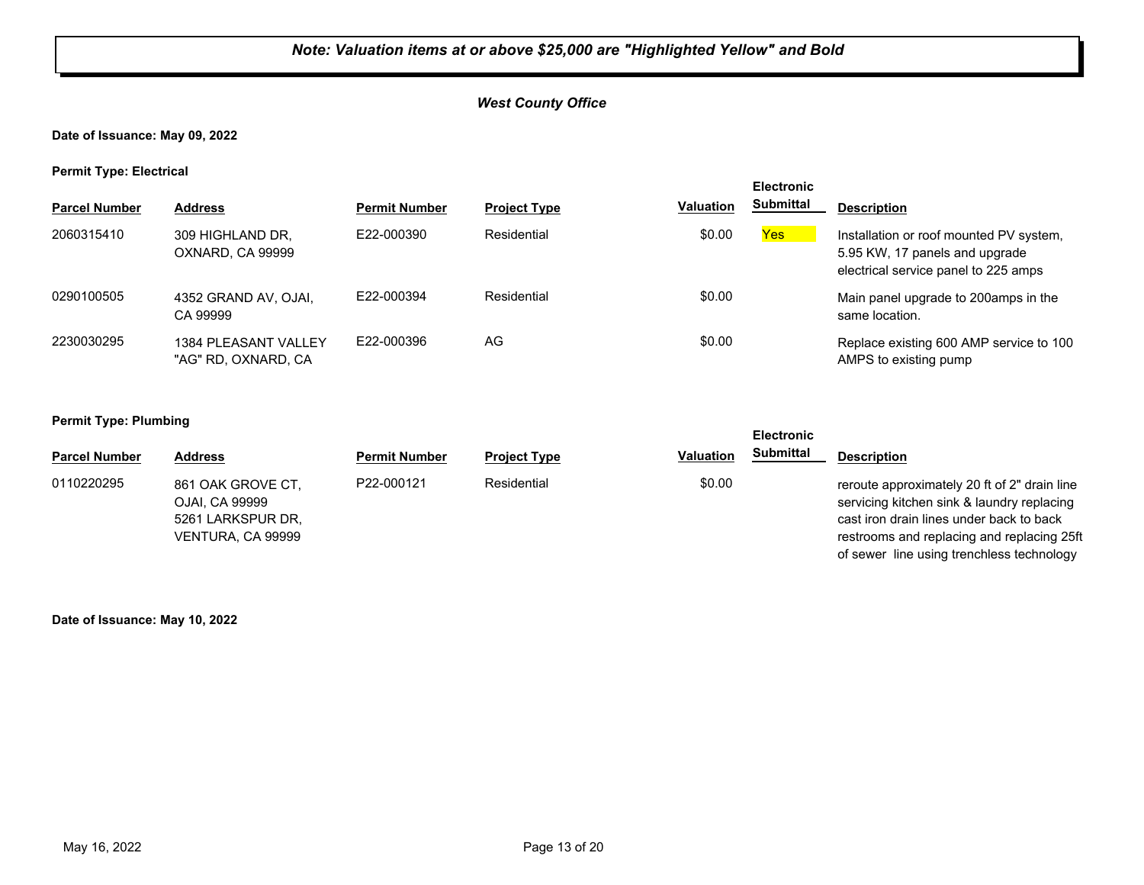## *West County Office*

**Date of Issuance: May 09, 2022**

**Permit Type: Electrical**

|                      |                                             |                      |                     |                  | <b>Electronic</b> |                                                                                                                   |
|----------------------|---------------------------------------------|----------------------|---------------------|------------------|-------------------|-------------------------------------------------------------------------------------------------------------------|
| <b>Parcel Number</b> | <b>Address</b>                              | <b>Permit Number</b> | <b>Project Type</b> | <b>Valuation</b> | Submittal         | <b>Description</b>                                                                                                |
| 2060315410           | 309 HIGHLAND DR.<br>OXNARD, CA 99999        | E22-000390           | Residential         | \$0.00           | <b>Yes</b>        | Installation or roof mounted PV system,<br>5.95 KW, 17 panels and upgrade<br>electrical service panel to 225 amps |
| 0290100505           | 4352 GRAND AV. OJAI.<br>CA 99999            | E22-000394           | Residential         | \$0.00           |                   | Main panel upgrade to 200amps in the<br>same location.                                                            |
| 2230030295           | 1384 PLEASANT VALLEY<br>"AG" RD. OXNARD. CA | E22-000396           | AG                  | \$0.00           |                   | Replace existing 600 AMP service to 100<br>AMPS to existing pump                                                  |

#### **Permit Type: Plumbing**

|                      |                                                                               |                      |                     |                  | ᆸច៴៶៲៴៲៲៲៴ |                                                                                                                                                                                                                                   |
|----------------------|-------------------------------------------------------------------------------|----------------------|---------------------|------------------|------------|-----------------------------------------------------------------------------------------------------------------------------------------------------------------------------------------------------------------------------------|
| <b>Parcel Number</b> | <b>Address</b>                                                                | <b>Permit Number</b> | <b>Project Type</b> | <b>Valuation</b> | Submittal  | <b>Description</b>                                                                                                                                                                                                                |
| 0110220295           | 861 OAK GROVE CT.<br>OJAI, CA 99999<br>5261 LARKSPUR DR.<br>VENTURA, CA 99999 | P22-000121           | Residential         | \$0.00           |            | reroute approximately 20 ft of 2" drain line<br>servicing kitchen sink & laundry replacing<br>cast iron drain lines under back to back<br>restrooms and replacing and replacing 25ft<br>of sewer line using trenchless technology |

**Electronic** 

**Date of Issuance: May 10, 2022**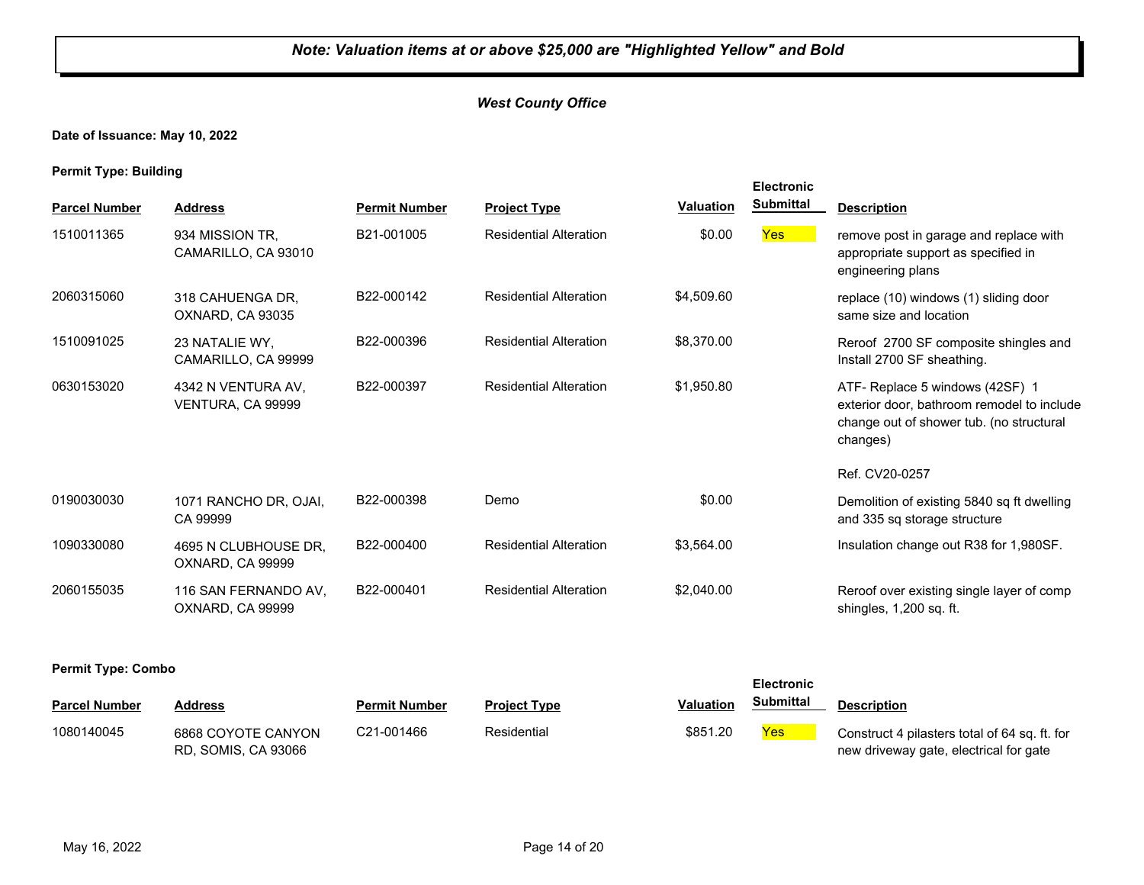## *West County Office*

**Date of Issuance: May 10, 2022**

**Permit Type: Building**

|                      |                                          |                      |                               |                  | <b>Electronic</b> |                                                                                                                                       |
|----------------------|------------------------------------------|----------------------|-------------------------------|------------------|-------------------|---------------------------------------------------------------------------------------------------------------------------------------|
| <b>Parcel Number</b> | <b>Address</b>                           | <b>Permit Number</b> | <b>Project Type</b>           | <b>Valuation</b> | <b>Submittal</b>  | <b>Description</b>                                                                                                                    |
| 1510011365           | 934 MISSION TR,<br>CAMARILLO, CA 93010   | B21-001005           | <b>Residential Alteration</b> | \$0.00           | <b>Yes</b>        | remove post in garage and replace with<br>appropriate support as specified in<br>engineering plans                                    |
| 2060315060           | 318 CAHUENGA DR.<br>OXNARD, CA 93035     | B22-000142           | <b>Residential Alteration</b> | \$4,509.60       |                   | replace (10) windows (1) sliding door<br>same size and location                                                                       |
| 1510091025           | 23 NATALIE WY.<br>CAMARILLO, CA 99999    | B22-000396           | <b>Residential Alteration</b> | \$8,370,00       |                   | Reroof 2700 SF composite shingles and<br>Install 2700 SF sheathing.                                                                   |
| 0630153020           | 4342 N VENTURA AV,<br>VENTURA, CA 99999  | B22-000397           | <b>Residential Alteration</b> | \$1,950.80       |                   | ATF- Replace 5 windows (42SF) 1<br>exterior door, bathroom remodel to include<br>change out of shower tub. (no structural<br>changes) |
|                      |                                          |                      |                               |                  |                   | Ref. CV20-0257                                                                                                                        |
| 0190030030           | 1071 RANCHO DR, OJAI,<br>CA 99999        | B22-000398           | Demo                          | \$0.00           |                   | Demolition of existing 5840 sq ft dwelling<br>and 335 sq storage structure                                                            |
| 1090330080           | 4695 N CLUBHOUSE DR.<br>OXNARD, CA 99999 | B22-000400           | <b>Residential Alteration</b> | \$3,564.00       |                   | Insulation change out R38 for 1,980SF.                                                                                                |
| 2060155035           | 116 SAN FERNANDO AV,<br>OXNARD, CA 99999 | B22-000401           | <b>Residential Alteration</b> | \$2,040.00       |                   | Reroof over existing single layer of comp<br>shingles, 1,200 sq. ft.                                                                  |

|                      |                                           |                      | <b>Electronic</b>   |           |           |                                                                                         |
|----------------------|-------------------------------------------|----------------------|---------------------|-----------|-----------|-----------------------------------------------------------------------------------------|
| <b>Parcel Number</b> | Address                                   | <b>Permit Number</b> | <b>Project Type</b> | Valuation | Submittal | <b>Description</b>                                                                      |
| 1080140045           | 6868 COYOTE CANYON<br>RD, SOMIS, CA 93066 | C21-001466           | Residential         | \$851.20  | Yes       | Construct 4 pilasters total of 64 sq. ft. for<br>new driveway gate, electrical for gate |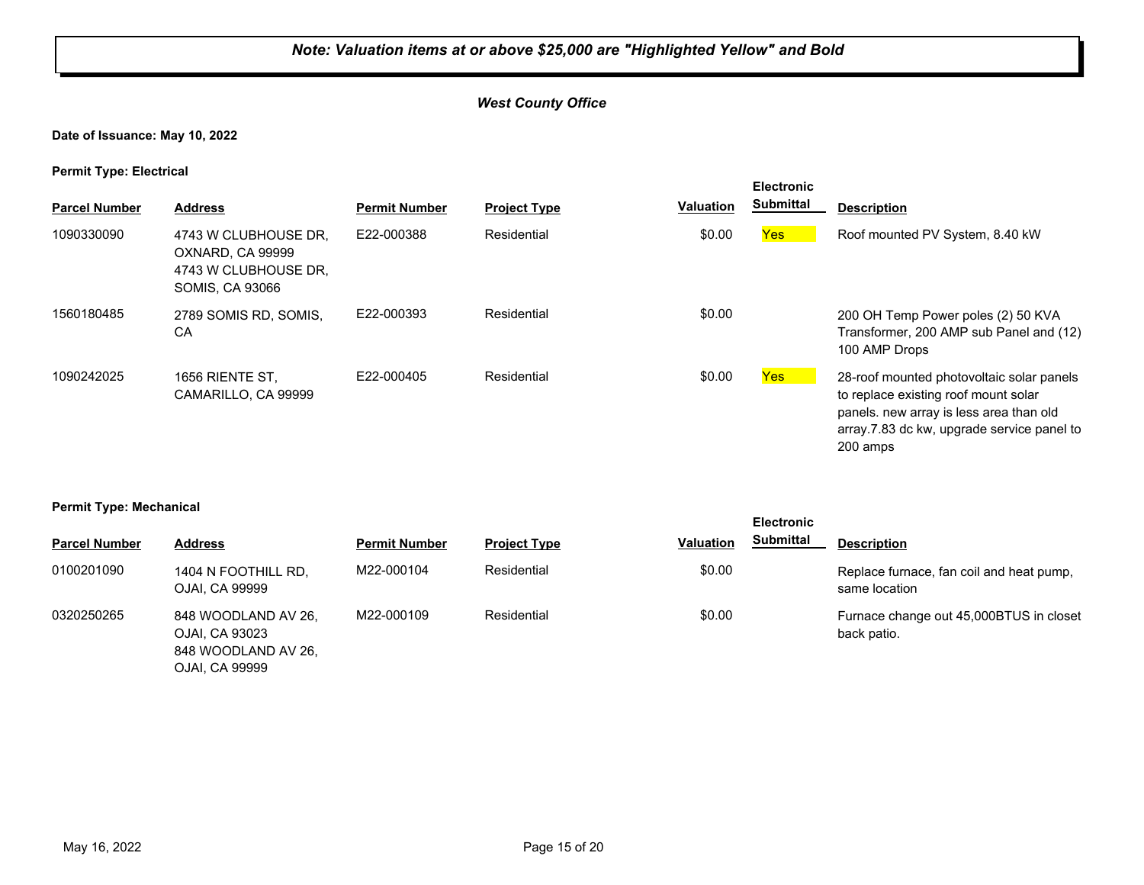## *West County Office*

**Date of Issuance: May 10, 2022**

**Permit Type: Electrical**

| <b>Parcel Number</b> | <b>Address</b>                                                                             | <b>Permit Number</b> | <b>Project Type</b> | <b>Valuation</b> | <b>Electronic</b><br><b>Submittal</b> | <b>Description</b>                                                                                                                                                                     |
|----------------------|--------------------------------------------------------------------------------------------|----------------------|---------------------|------------------|---------------------------------------|----------------------------------------------------------------------------------------------------------------------------------------------------------------------------------------|
| 1090330090           | 4743 W CLUBHOUSE DR.<br>OXNARD, CA 99999<br>4743 W CLUBHOUSE DR.<br><b>SOMIS, CA 93066</b> | E22-000388           | Residential         | \$0.00           | Yes                                   | Roof mounted PV System, 8.40 kW                                                                                                                                                        |
| 1560180485           | 2789 SOMIS RD, SOMIS.<br>CA                                                                | E22-000393           | Residential         | \$0.00           |                                       | 200 OH Temp Power poles (2) 50 KVA<br>Transformer, 200 AMP sub Panel and (12)<br>100 AMP Drops                                                                                         |
| 1090242025           | 1656 RIENTE ST.<br>CAMARILLO, CA 99999                                                     | E22-000405           | Residential         | \$0.00           | Yes                                   | 28-roof mounted photovoltaic solar panels<br>to replace existing roof mount solar<br>panels. new array is less area than old<br>array.7.83 dc kw, upgrade service panel to<br>200 amps |

#### **Permit Type: Mechanical**

|                      |                                                                                |                      |                     |           | <b>Electronic</b>                                         |
|----------------------|--------------------------------------------------------------------------------|----------------------|---------------------|-----------|-----------------------------------------------------------|
| <b>Parcel Number</b> | <b>Address</b>                                                                 | <b>Permit Number</b> | <b>Project Type</b> | Valuation | <b>Submittal</b><br><b>Description</b>                    |
| 0100201090           | 1404 N FOOTHILL RD,<br>OJAI, CA 99999                                          | M22-000104           | Residential         | \$0.00    | Replace furnace, fan coil and heat pump,<br>same location |
| 0320250265           | 848 WOODLAND AV 26.<br>OJAI, CA 93023<br>848 WOODLAND AV 26.<br>OJAI, CA 99999 | M22-000109           | Residential         | \$0.00    | Furnace change out 45,000BTUS in closet<br>back patio.    |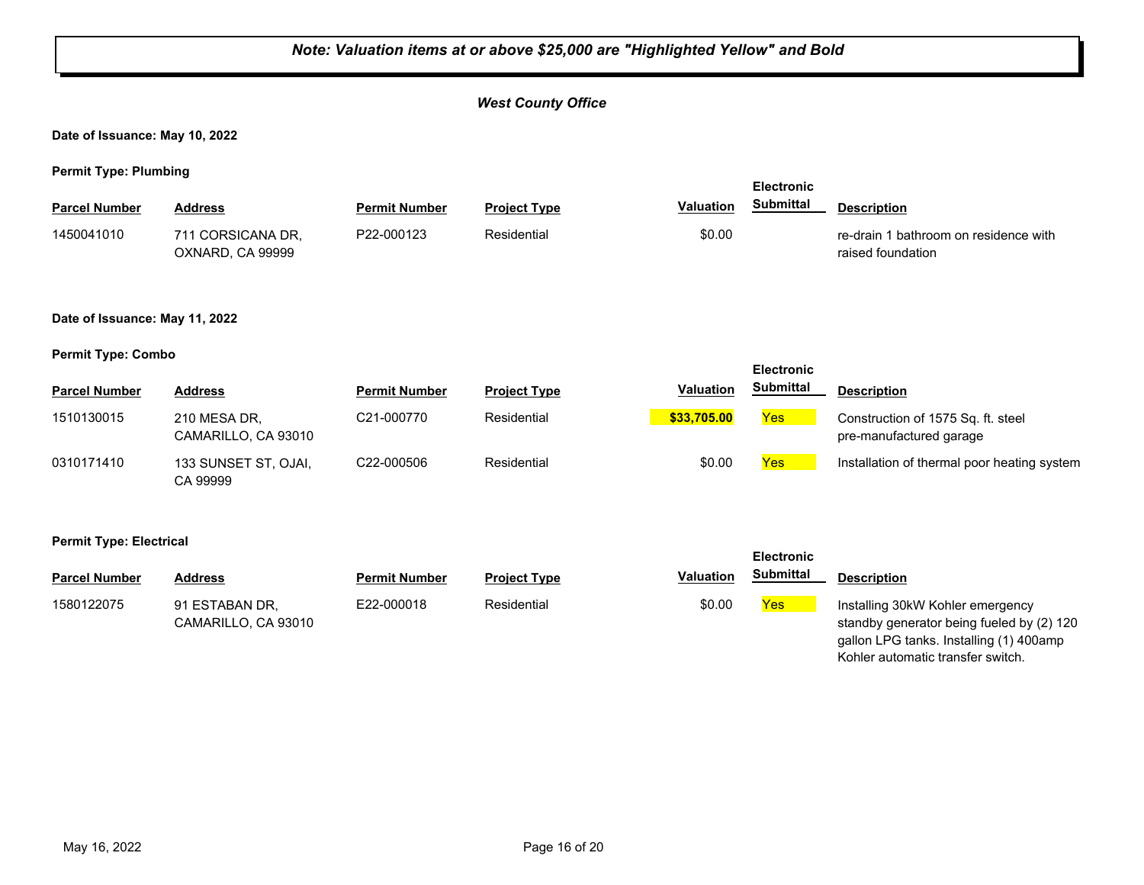|                                |                                       |                      | Note: Valuation items at or above \$25,000 are "Highlighted Yellow" and Bold |                  |                                |                                                                                                                                                               |
|--------------------------------|---------------------------------------|----------------------|------------------------------------------------------------------------------|------------------|--------------------------------|---------------------------------------------------------------------------------------------------------------------------------------------------------------|
|                                |                                       |                      | <b>West County Office</b>                                                    |                  |                                |                                                                                                                                                               |
| Date of Issuance: May 10, 2022 |                                       |                      |                                                                              |                  |                                |                                                                                                                                                               |
| <b>Permit Type: Plumbing</b>   |                                       |                      |                                                                              |                  | <b>Electronic</b>              |                                                                                                                                                               |
| <b>Parcel Number</b>           | <b>Address</b>                        | <b>Permit Number</b> | <b>Project Type</b>                                                          | <b>Valuation</b> | <b>Submittal</b>               | <b>Description</b>                                                                                                                                            |
| 1450041010                     | 711 CORSICANA DR,<br>OXNARD, CA 99999 | P22-000123           | Residential                                                                  | \$0.00           |                                | re-drain 1 bathroom on residence with<br>raised foundation                                                                                                    |
| Date of Issuance: May 11, 2022 |                                       |                      |                                                                              |                  |                                |                                                                                                                                                               |
| <b>Permit Type: Combo</b>      |                                       |                      |                                                                              |                  | <b>Electronic</b>              |                                                                                                                                                               |
| <b>Parcel Number</b>           | <b>Address</b>                        | <b>Permit Number</b> | <b>Project Type</b>                                                          | Valuation        | <b>Submittal</b>               | <b>Description</b>                                                                                                                                            |
| 1510130015                     | 210 MESA DR,<br>CAMARILLO, CA 93010   | C21-000770           | Residential                                                                  | \$33,705.00      | Yes                            | Construction of 1575 Sq. ft. steel<br>pre-manufactured garage                                                                                                 |
| 0310171410                     | 133 SUNSET ST, OJAI,<br>CA 99999      | C22-000506           | Residential                                                                  | \$0.00           | Yes                            | Installation of thermal poor heating system                                                                                                                   |
| <b>Permit Type: Electrical</b> |                                       |                      |                                                                              |                  |                                |                                                                                                                                                               |
| <b>Parcel Number</b>           | <b>Address</b>                        | <b>Permit Number</b> | <b>Project Type</b>                                                          | Valuation        | Electronic<br><b>Submittal</b> | <b>Description</b>                                                                                                                                            |
| 1580122075                     | 91 ESTABAN DR,<br>CAMARILLO, CA 93010 | E22-000018           | Residential                                                                  | \$0.00           | Yes                            | Installing 30kW Kohler emergency<br>standby generator being fueled by (2) 120<br>gallon LPG tanks. Installing (1) 400amp<br>Kohler automatic transfer switch. |

Ъ

Г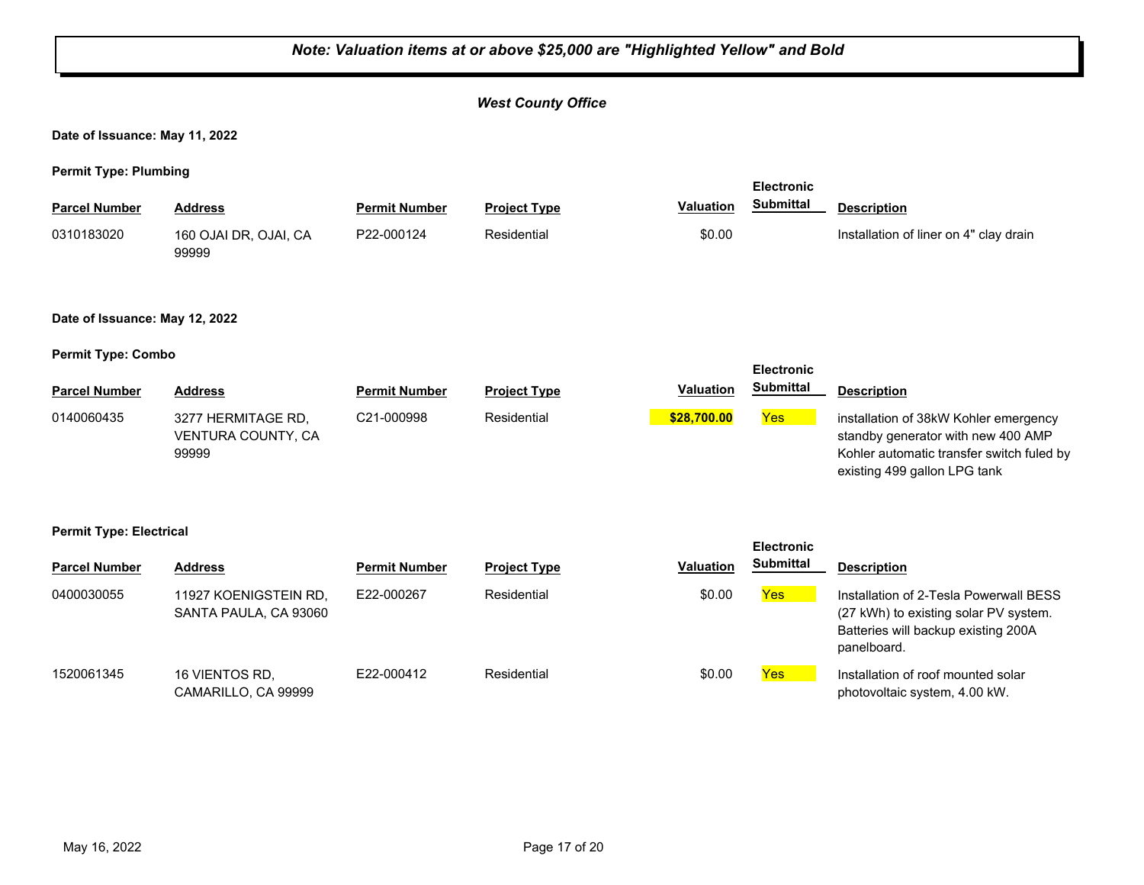### *Note: Valuation items at or above \$25,000 are "Highlighted Yellow" and Bold West County Office* **Date of Issuance: May 11, 2022 Permit Type: Plumbing Parcel Number Address <b>Permit Number Project Type Valuation Submittal Description Electronic Submittal** 160 OJAI DR, OJAI, CA 99999 0310183020 160 OJAI DR, OJAI, CA P22-000124 Residential \$0.00 Installation of liner on 4" clay drain **Date of Issuance: May 12, 2022 Permit Type: Combo Parcel Number Address Permit Number Project Type Valuation Description Electronic Submittal** 0140060435 3277 HERMITAGE RD, C21-000998 Residential <mark> \$28,700.00</mark> <mark>Yes</mark> VENTURA COUNTY, CA 99999 C21-000998 Residential **\$28,700.00** installation of 38kW Kohler emergency standby generator with new 400 AMP Kohler automatic transfer switch fuled by existing 499 gallon LPG tank **Permit Type: Electrical Parcel Number Address <b>Permit Number Project Type Valuation Submittal Description Electronic Submittal** 0400030055 11927 KOENIGSTEIN RD, E22-000267 Residential \$0.00 <mark>Yes</mark> SANTA PAULA, CA 93060 E22-000267 Residential **Residential** \$0.00 **Yes** Installation of 2-Tesla Powerwall BESS (27 kWh) to existing solar PV system. Batteries will backup existing 200A panelboard. 1520061345 16 VIENTOS RD, E22-000412 Residential \$0.00 <mark>Yes</mark> CAMARILLO, CA 99999 E22-000412 Residential **Residential** \$0.00 **Yes** Installation of roof mounted solar photovoltaic system, 4.00 kW.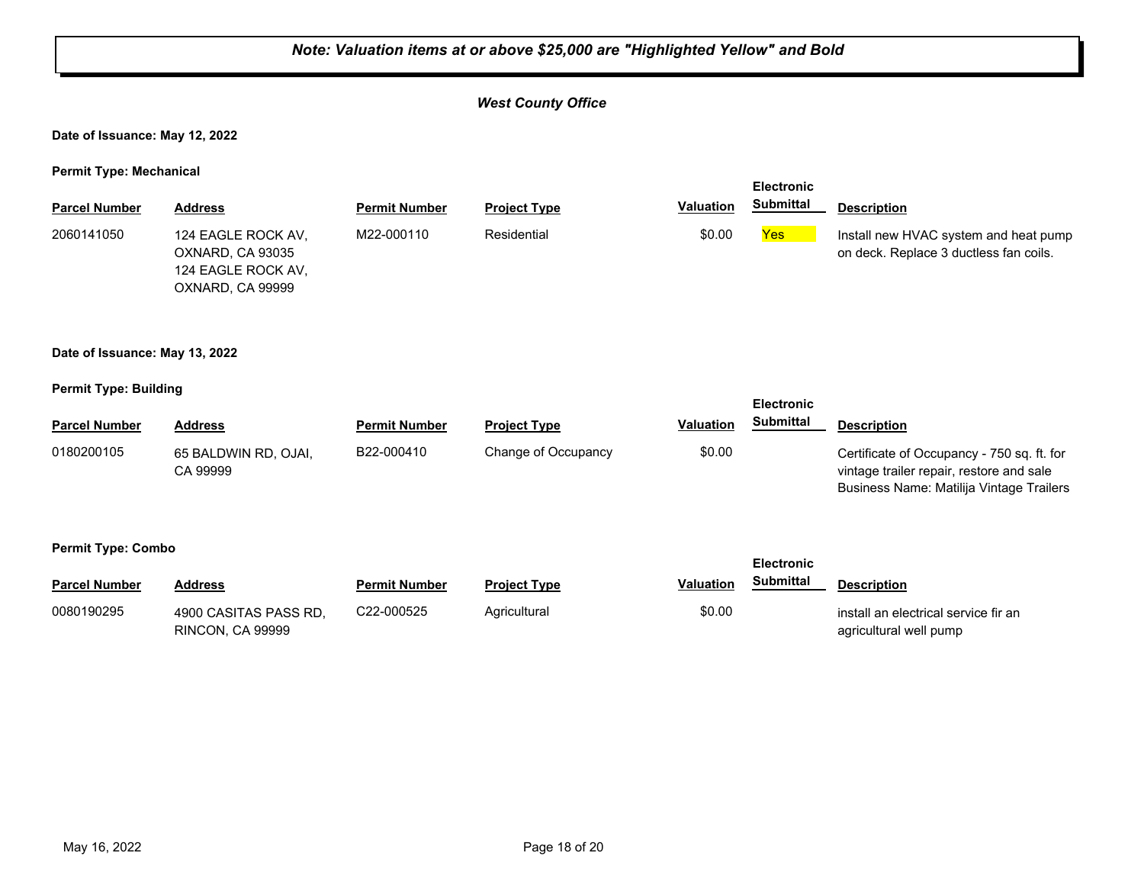## *Note: Valuation items at or above \$25,000 are "Highlighted Yellow" and Bold West County Office* **Date of Issuance: May 12, 2022 Permit Type: Mechanical Parcel Number Address <b>Permit Number Project Type Valuation Submittal** Description **Electronic Submittal** 2060141050 124 EAGLE ROCK AV, M22-000110 Residential \$0.00 <mark>Yes</mark> OXNARD, CA 93035 124 EAGLE ROCK AV, OXNARD, CA 99999 M22-000110 Residential **Example 10.00 Pes** Install new HVAC system and heat pump on deck. Replace 3 ductless fan coils. **Date of Issuance: May 13, 2022 Permit Type: Building Parcel Number Address <b>Permit Number Project Type Valuation Submittal** Description **Electronic Submittal** 65 BALDWIN RD, OJAI, CA 99999 B22-000410 Change of Occupancy \$0.00 Certificate of Occupancy - 750 sq. ft. for vintage trailer repair, restore and sale Business Name: Matilija Vintage Trailers 0180200105 **Permit Type: Combo Parcel Number Address <b>Permit Number Project Type Valuation Submittal** Description **Electronic Submittal** 4900 CASITAS PASS RD, RINCON, CA 99999 C22-000525 Agricultural **\$0.00** Some and the service fir an electrical service fir an agricultural well pump 0080190295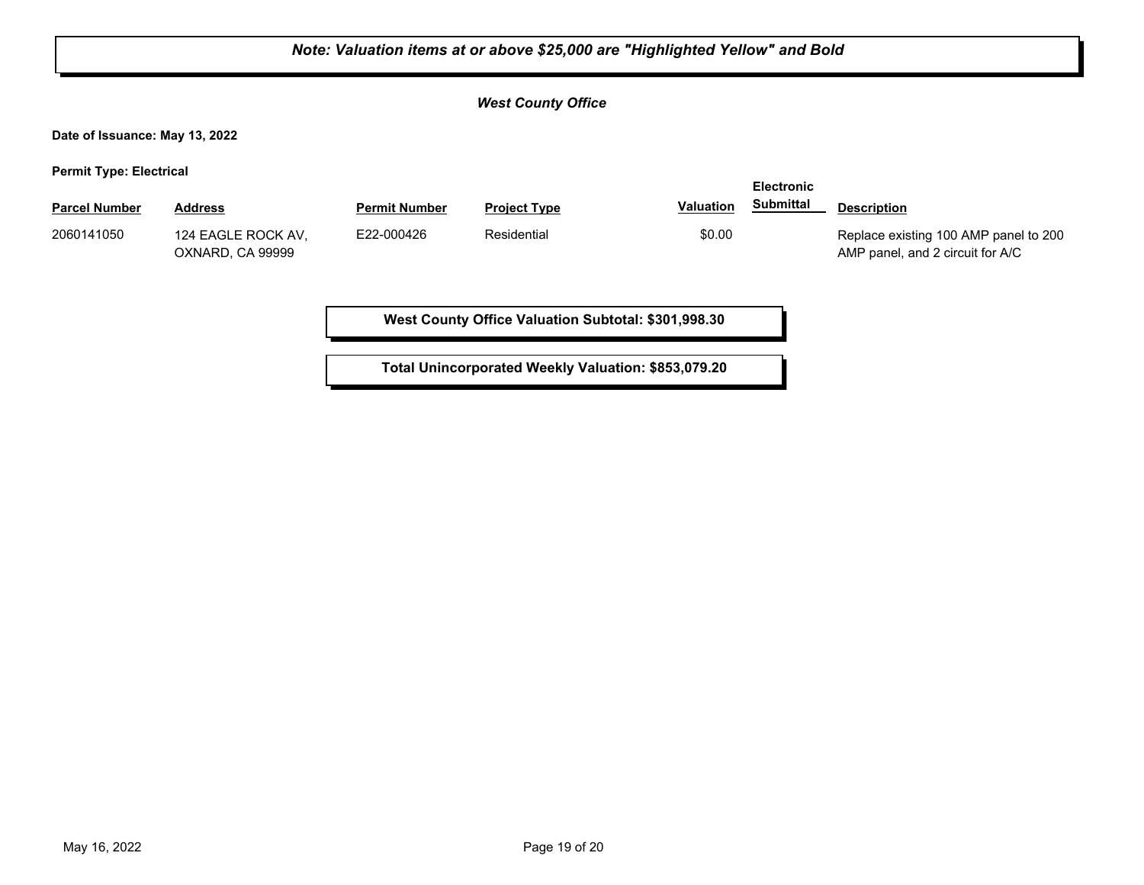| Note: Valuation items at or above \$25,000 are "Highlighted Yellow" and Bold |                                        |                      |                                                     |                  |                   |                                                                           |  |
|------------------------------------------------------------------------------|----------------------------------------|----------------------|-----------------------------------------------------|------------------|-------------------|---------------------------------------------------------------------------|--|
|                                                                              |                                        |                      | <b>West County Office</b>                           |                  |                   |                                                                           |  |
| Date of Issuance: May 13, 2022                                               |                                        |                      |                                                     |                  |                   |                                                                           |  |
| <b>Permit Type: Electrical</b>                                               |                                        |                      |                                                     |                  | <b>Electronic</b> |                                                                           |  |
| <b>Parcel Number</b>                                                         | <b>Address</b>                         | <b>Permit Number</b> | <b>Project Type</b>                                 | <b>Valuation</b> | <b>Submittal</b>  | <b>Description</b>                                                        |  |
| 2060141050                                                                   | 124 EAGLE ROCK AV.<br>OXNARD, CA 99999 | E22-000426           | Residential                                         | \$0.00           |                   | Replace existing 100 AMP panel to 200<br>AMP panel, and 2 circuit for A/C |  |
|                                                                              |                                        |                      | West County Office Valuation Subtotal: \$301,998.30 |                  |                   |                                                                           |  |
| Total Unincorporated Weekly Valuation: \$853,079.20                          |                                        |                      |                                                     |                  |                   |                                                                           |  |